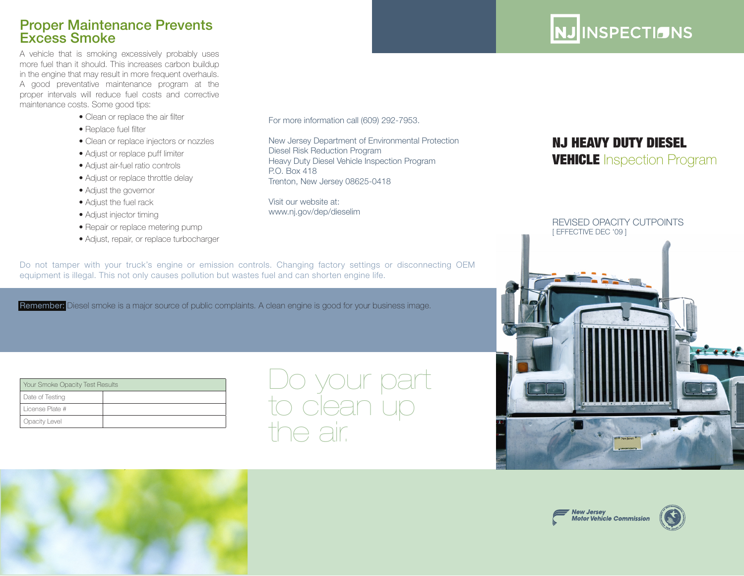## Proper Maintenance Prevents Excess Smoke

A vehicle that is smoking excessively probably uses more fuel than it should. This increases carbon buildup in the engine that may result in more frequent overhauls. A good preventative maintenance program at the proper intervals will reduce fuel costs and corrective maintenance costs. Some good tips:

- Clean or replace the air filter
- Replace fuel filter
- Clean or replace injectors or nozzles
- Adjust or replace puff limiter
- Adjust air-fuel ratio controls
- Adjust or replace throttle delay
- Adjust the governor
- Adjust the fuel rack
- Adjust injector timing
- Repair or replace metering pump
- Adjust, repair, or replace turbocharger

For more information call (609) 292-7953.

New Jersey Department of Environmental Protection Diesel Risk Reduction Program Heavy Duty Diesel Vehicle Inspection Program P.O. Box 418 Trenton, New Jersey 08625-0418

Visit our website at: www.nj.gov/dep/dieselim

Do not tamper with your truck's engine or emission controls. Changing factory settings or disconnecting OEM equipment is illegal. This not only causes pollution but wastes fuel and can shorten engine life.

Remember: Diesel smoke is a major source of public complaints. A clean engine is good for your business image.

| Your Smoke Opacity Test Results |  |
|---------------------------------|--|
| Date of Testing                 |  |
| License Plate #                 |  |
| Opacity Level                   |  |

# Do your part to clean up the air.



NJ INSPECTIONS

# NJ HEAVY DUTY DIESEL **VEHICLE** Inspection Program





.<br>Notor Vehicle Commission<br>Motor Vehicle Commission